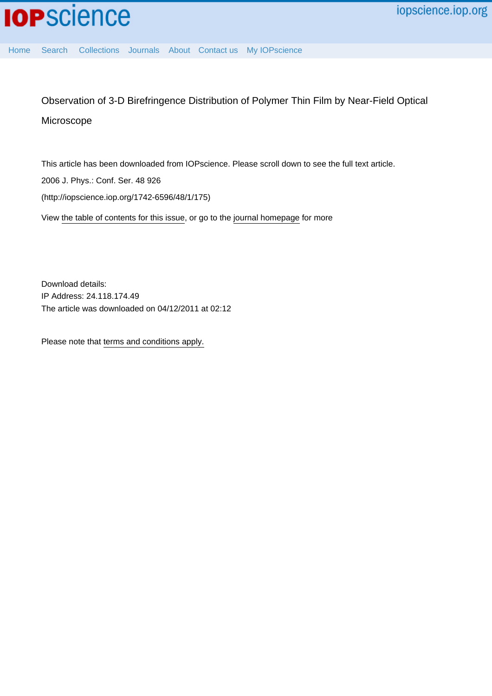[Home](http://iopscience.iop.org/) [Search](http://iopscience.iop.org/search) [Collections](http://iopscience.iop.org/collections) [Journals](http://iopscience.iop.org/journals) [About](http://iopscience.iop.org/page/aboutioppublishing) [Contact us](http://iopscience.iop.org/contact) [My IOPscience](http://iopscience.iop.org/myiopscience)

Observation of 3-D Birefringence Distribution of Polymer Thin Film by Near-Field Optical Microscope

This article has been downloaded from IOPscience. Please scroll down to see the full text article. 2006 J. Phys.: Conf. Ser. 48 926

(http://iopscience.iop.org/1742-6596/48/1/175)

View [the table of contents for this issue](http://iopscience.iop.org/1742-6596/48/1), or go to the [journal homepage](http://iopscience.iop.org/1742-6596) for more

Download details: IP Address: 24.118.174.49 The article was downloaded on 04/12/2011 at 02:12

Please note that [terms and conditions apply.](http://iopscience.iop.org/page/terms)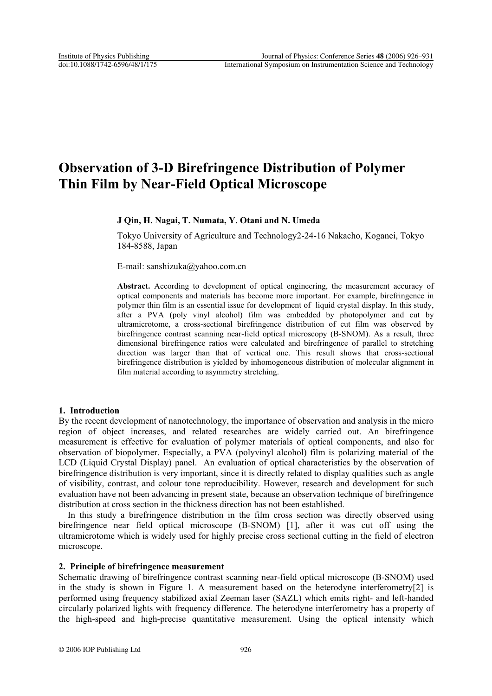# **Observation of 3-D Birefringence Distribution of Polymer Thin Film by Near-Field Optical Microscope**

# **J Qin, H. Nagai, T. Numata, Y. Otani and N. Umeda**

Tokyo University of Agriculture and Technology2-24-16 Nakacho, Koganei, Tokyo 184-8588, Japan

E-mail: sanshizuka@yahoo.com.cn

**Abstract.** According to development of optical engineering, the measurement accuracy of optical components and materials has become more important. For example, birefringence in polymer thin film is an essential issue for development of liquid crystal display. In this study, after a PVA (poly vinyl alcohol) film was embedded by photopolymer and cut by ultramicrotome, a cross-sectional birefringence distribution of cut film was observed by birefringence contrast scanning near-field optical microscopy (B-SNOM). As a result, three dimensional birefringence ratios were calculated and birefringence of parallel to stretching direction was larger than that of vertical one. This result shows that cross-sectional birefringence distribution is yielded by inhomogeneous distribution of molecular alignment in film material according to asymmetry stretching.

## **1. Introduction**

By the recent development of nanotechnology, the importance of observation and analysis in the micro region of object increases, and related researches are widely carried out. An birefringence measurement is effective for evaluation of polymer materials of optical components, and also for observation of biopolymer. Especially, a PVA (polyvinyl alcohol) film is polarizing material of the LCD (Liquid Crystal Display) panel. An evaluation of optical characteristics by the observation of birefringence distribution is very important, since it is directly related to display qualities such as angle of visibility, contrast, and colour tone reproducibility. However, research and development for such evaluation have not been advancing in present state, because an observation technique of birefringence distribution at cross section in the thickness direction has not been established.

In this study a birefringence distribution in the film cross section was directly observed using birefringence near field optical microscope (B-SNOM) [1], after it was cut off using the ultramicrotome which is widely used for highly precise cross sectional cutting in the field of electron microscope.

# **2. Principle of birefringence measurement**

Schematic drawing of birefringence contrast scanning near-field optical microscope (B-SNOM) used in the study is shown in Figure 1. A measurement based on the heterodyne interferometry[2] is performed using frequency stabilized axial Zeeman laser (SAZL) which emits right- and left-handed circularly polarized lights with frequency difference. The heterodyne interferometry has a property of the high-speed and high-precise quantitative measurement. Using the optical intensity which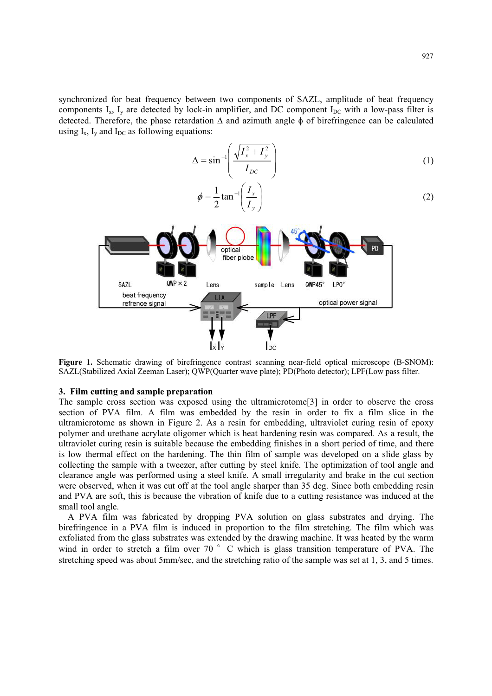synchronized for beat frequency between two components of SAZL, amplitude of beat frequency components  $I_x$ ,  $I_y$  are detected by lock-in amplifier, and DC component  $I_{DC}$  with a low-pass filter is detected. Therefore, the phase retardation  $\Delta$  and azimuth angle  $\phi$  of birefringence can be calculated using  $I_x$ ,  $I_y$  and  $I_{DC}$  as following equations:

$$
\Delta = \sin^{-1}\left(\frac{\sqrt{I_x^2 + I_y^2}}{I_{DC}}\right)
$$
 (1)

$$
\phi = \frac{1}{2} \tan^{-1} \left( \frac{I_x}{I_y} \right) \tag{2}
$$



**Figure 1.** Schematic drawing of birefringence contrast scanning near-field optical microscope (B-SNOM): SAZL(Stabilized Axial Zeeman Laser); QWP(Quarter wave plate); PD(Photo detector); LPF(Low pass filter.

#### **3. Film cutting and sample preparation**

The sample cross section was exposed using the ultramicrotome[3] in order to observe the cross section of PVA film. A film was embedded by the resin in order to fix a film slice in the ultramicrotome as shown in Figure 2. As a resin for embedding, ultraviolet curing resin of epoxy polymer and urethane acrylate oligomer which is heat hardening resin was compared. As a result, the ultraviolet curing resin is suitable because the embedding finishes in a short period of time, and there is low thermal effect on the hardening. The thin film of sample was developed on a slide glass by collecting the sample with a tweezer, after cutting by steel knife. The optimization of tool angle and clearance angle was performed using a steel knife. A small irregularity and brake in the cut section were observed, when it was cut off at the tool angle sharper than 35 deg. Since both embedding resin and PVA are soft, this is because the vibration of knife due to a cutting resistance was induced at the small tool angle.

A PVA film was fabricated by dropping PVA solution on glass substrates and drying. The birefringence in a PVA film is induced in proportion to the film stretching. The film which was exfoliated from the glass substrates was extended by the drawing machine. It was heated by the warm wind in order to stretch a film over 70  $\degree$  C which is glass transition temperature of PVA. The stretching speed was about 5mm/sec, and the stretching ratio of the sample was set at 1, 3, and 5 times.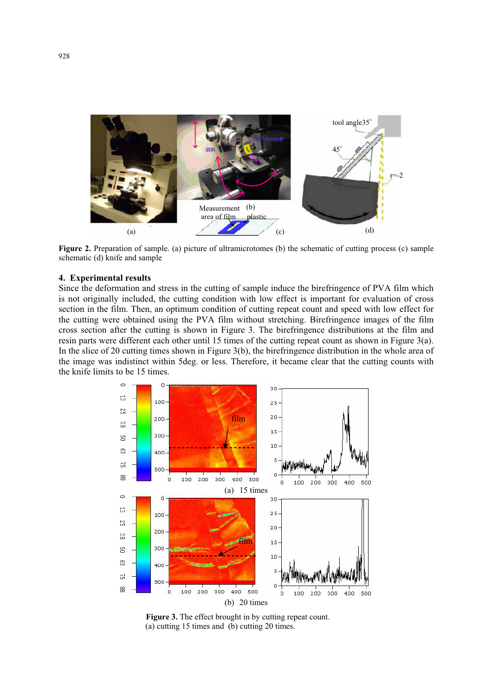

**Figure 2.** Preparation of sample. (a) picture of ultramicrotomes (b) the schematic of cutting process (c) sample schematic (d) knife and sample

### **4. Experimental results**

Since the deformation and stress in the cutting of sample induce the birefringence of PVA film which is not originally included, the cutting condition with low effect is important for evaluation of cross section in the film. Then, an optimum condition of cutting repeat count and speed with low effect for the cutting were obtained using the PVA film without stretching. Birefringence images of the film cross section after the cutting is shown in Figure 3. The birefringence distributions at the film and resin parts were different each other until 15 times of the cutting repeat count as shown in Figure 3(a). In the slice of 20 cutting times shown in Figure 3(b), the birefringence distribution in the whole area of the image was indistinct within 5deg. or less. Therefore, it became clear that the cutting counts with the knife limits to be 15 times.



Figure 3. The effect brought in by cutting repeat count. (a) cutting 15 times and (b) cutting 20 times.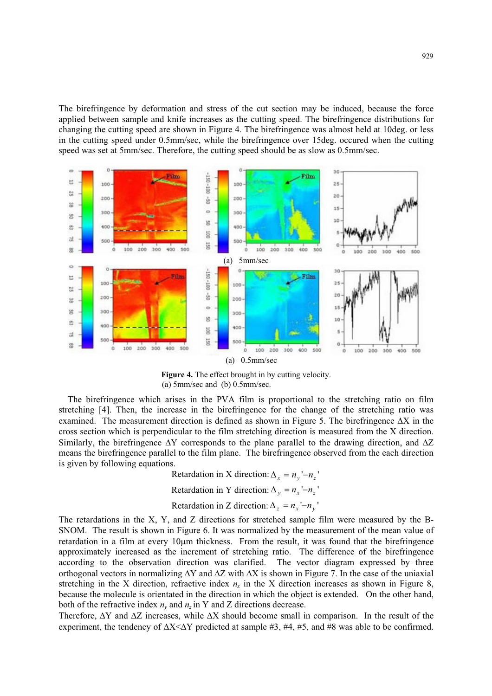The birefringence by deformation and stress of the cut section may be induced, because the force applied between sample and knife increases as the cutting speed. The birefringence distributions for changing the cutting speed are shown in Figure 4. The birefringence was almost held at 10deg. or less in the cutting speed under 0.5mm/sec, while the birefringence over 15deg. occured when the cutting speed was set at 5mm/sec. Therefore, the cutting speed should be as slow as 0.5mm/sec.



**Figure 4.** The effect brought in by cutting velocity. (a) 5mm/sec and (b) 0.5mm/sec.

The birefringence which arises in the PVA film is proportional to the stretching ratio on film stretching [4]. Then, the increase in the birefringence for the change of the stretching ratio was examined. The measurement direction is defined as shown in Figure 5. The birefringence  $\Delta X$  in the cross section which is perpendicular to the film stretching direction is measured from the X direction. Similarly, the birefringence  $\Delta Y$  corresponds to the plane parallel to the drawing direction, and  $\Delta Z$ means the birefringence parallel to the film plane. The birefringence observed from the each direction is given by following equations.

Retardation in X direction:  $\Delta_{r} = n_{r} - n_{r}$ 

Retardation in Y direction:  $\Delta_v = n_x - n_z$ 

Retardation in Z direction:  $\Delta_z = n_x - n_y$ 

The retardations in the X, Y, and Z directions for stretched sample film were measured by the B-SNOM. The result is shown in Figure 6. It was normalized by the measurement of the mean value of retardation in a film at every 10um thickness. From the result, it was found that the birefringence approximately increased as the increment of stretching ratio. The difference of the birefringence according to the observation direction was clarified. The vector diagram expressed by three orthogonal vectors in normalizing  $\Delta Y$  and  $\Delta Z$  with  $\Delta X$  is shown in Figure 7. In the case of the uniaxial stretching in the X direction, refractive index  $n<sub>x</sub>$  in the X direction increases as shown in Figure 8, because the molecule is orientated in the direction in which the object is extended. On the other hand, both of the refractive index  $n<sub>v</sub>$  and  $n<sub>z</sub>$  in Y and Z directions decrease.

Therefore,  $\Delta Y$  and  $\Delta Z$  increases, while  $\Delta X$  should become small in comparison. In the result of the experiment, the tendency of  $\Delta X \leq \Delta Y$  predicted at sample #3, #4, #5, and #8 was able to be confirmed.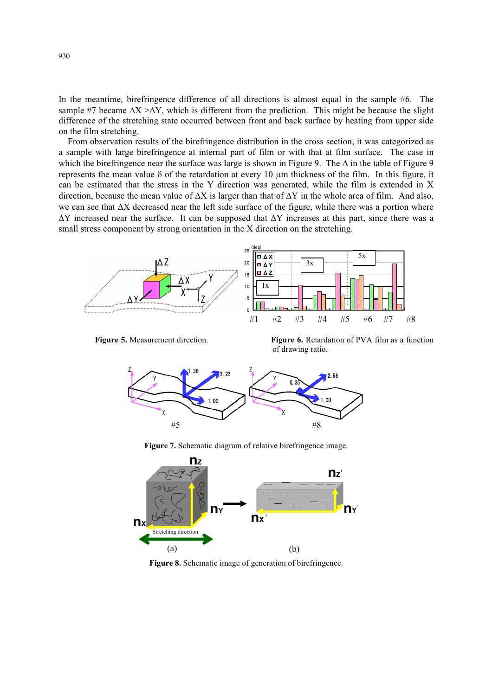In the meantime, birefringence difference of all directions is almost equal in the sample #6. The sample #7 became  $\Delta X > \Delta Y$ , which is different from the prediction. This might be because the slight difference of the stretching state occurred between front and back surface by heating from upper side on the film stretching.

From observation results of the birefringence distribution in the cross section, it was categorized as a sample with large birefringence at internal part of film or with that at film surface. The case in which the birefringence near the surface was large is shown in Figure 9. The  $\Delta$  in the table of Figure 9 represents the mean value  $\delta$  of the retardation at every 10  $\mu$ m thickness of the film. In this figure, it can be estimated that the stress in the Y direction was generated, while the film is extended in X direction, because the mean value of  $\Delta X$  is larger than that of  $\Delta Y$  in the whole area of film. And also, we can see that  $\Delta X$  decreased near the left side surface of the figure, while there was a portion where  $\Delta Y$  increased near the surface. It can be supposed that  $\Delta Y$  increases at this part, since there was a small stress component by strong orientation in the X direction on the stretching.



Figure 5. Measurement direction.

 **Figure 6.** Retardation of PVA film as a function of drawing ratio.



**Figure 7.** Schematic diagram of relative birefringence image.



**Figure 8.** Schematic image of generation of birefringence.